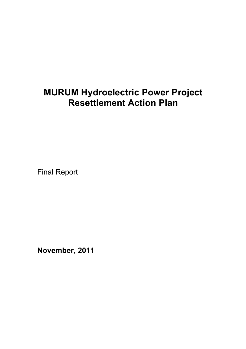# **MURUM Hydroelectric Power Project Resettlement Action Plan**

Final Report

**November, 2011**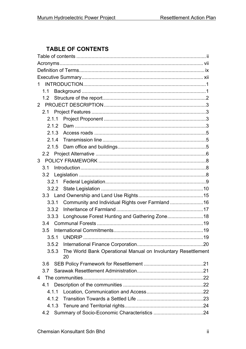# **TABLE OF CONTENTS**

| 1. |     |       |                                                                     |  |
|----|-----|-------|---------------------------------------------------------------------|--|
|    | 1.1 |       |                                                                     |  |
|    | 1.2 |       |                                                                     |  |
|    |     |       |                                                                     |  |
|    |     |       |                                                                     |  |
|    |     | 2.1.1 |                                                                     |  |
|    |     | 2.1.2 |                                                                     |  |
|    |     | 2.1.3 |                                                                     |  |
|    |     | 2.1.4 |                                                                     |  |
|    |     | 2.1.5 |                                                                     |  |
|    |     |       |                                                                     |  |
|    |     |       |                                                                     |  |
|    | 3.1 |       |                                                                     |  |
|    |     |       |                                                                     |  |
|    |     | 3.2.1 |                                                                     |  |
|    |     |       |                                                                     |  |
|    |     |       |                                                                     |  |
|    |     | 3.3.1 | Community and Individual Rights over Farmland  16                   |  |
|    |     | 3.3.2 |                                                                     |  |
|    |     | 3.3.3 | Longhouse Forest Hunting and Gathering Zone 18                      |  |
|    | 3.4 |       |                                                                     |  |
|    | 3.5 |       |                                                                     |  |
|    |     |       |                                                                     |  |
|    |     | 3.5.2 |                                                                     |  |
|    |     | 3.5.3 | The World Bank Operational Manual on Involuntary Resettlement<br>20 |  |
|    | 3.6 |       |                                                                     |  |
|    | 3.7 |       |                                                                     |  |
| 4  |     |       |                                                                     |  |
|    | 4.1 |       |                                                                     |  |
|    |     | 4.1.1 |                                                                     |  |
|    |     | 4.1.2 |                                                                     |  |
|    |     | 4.1.3 |                                                                     |  |
|    | 4.2 |       |                                                                     |  |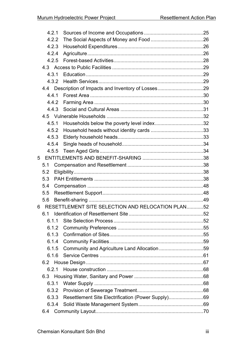|   | 4.2.1 |                                                    |  |
|---|-------|----------------------------------------------------|--|
|   | 4.2.2 |                                                    |  |
|   | 4.2.3 |                                                    |  |
|   | 4.2.4 |                                                    |  |
|   | 4.2.5 |                                                    |  |
|   |       |                                                    |  |
|   | 4.3.1 |                                                    |  |
|   |       |                                                    |  |
|   |       |                                                    |  |
|   | 4.4.1 |                                                    |  |
|   | 4.4.2 |                                                    |  |
|   | 4.4.3 |                                                    |  |
|   |       |                                                    |  |
|   | 4.5.1 |                                                    |  |
|   | 4.5.2 |                                                    |  |
|   | 4.5.3 |                                                    |  |
|   | 4.5.4 |                                                    |  |
|   |       |                                                    |  |
| 5 |       |                                                    |  |
|   | 5.1   |                                                    |  |
|   | 5.2   |                                                    |  |
|   | 5.3   |                                                    |  |
|   | 5.4   |                                                    |  |
|   | 5.5   |                                                    |  |
|   | 5.6   |                                                    |  |
| 6 |       | RESETTLEMENT SITE SELECTION AND RELOCATION PLAN52  |  |
|   |       | 6.1 Identification of Resettlement Site.           |  |
|   | 6.1.1 |                                                    |  |
|   |       |                                                    |  |
|   | 6.1.3 |                                                    |  |
|   | 6.1.4 |                                                    |  |
|   | 6.1.5 |                                                    |  |
|   | 6.1.6 |                                                    |  |
|   |       |                                                    |  |
|   | 6.2.1 |                                                    |  |
|   |       |                                                    |  |
|   | 6.3.1 |                                                    |  |
|   | 6.3.2 |                                                    |  |
|   | 6.3.3 | Resettlement Site Electrification (Power Supply)69 |  |
|   | 6.3.4 |                                                    |  |
|   | 6.4   |                                                    |  |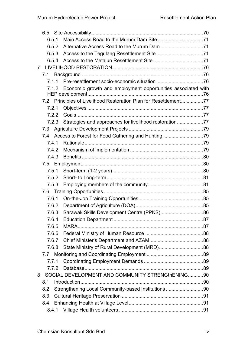| 6.5.1 |                                                                  |  |
|-------|------------------------------------------------------------------|--|
| 6.5.2 |                                                                  |  |
| 6.5.3 |                                                                  |  |
| 6.5.4 |                                                                  |  |
| 7     |                                                                  |  |
|       |                                                                  |  |
|       |                                                                  |  |
| 7.1.2 | Economic growth and employment opportunities associated with     |  |
|       | 7.2 Principles of Livelihood Restoration Plan for Resettlement77 |  |
| 7.2.1 |                                                                  |  |
| 7.2.2 |                                                                  |  |
|       | 7.2.3 Strategies and approaches for livelihood restoration77     |  |
| 7.3   |                                                                  |  |
| 7.4   | Access to Forest for Food Gathering and Hunting 79               |  |
| 7.4.1 |                                                                  |  |
| 7.4.2 |                                                                  |  |
| 7.4.3 |                                                                  |  |
|       |                                                                  |  |
| 7.5.1 |                                                                  |  |
| 7.5.2 |                                                                  |  |
| 7.5.3 |                                                                  |  |
|       |                                                                  |  |
| 7.6.1 |                                                                  |  |
| 7.6.2 |                                                                  |  |
| 7.6.3 |                                                                  |  |
| 7.6.4 |                                                                  |  |
| 7.6.5 |                                                                  |  |
| 7.6.6 |                                                                  |  |
| 7.6.7 |                                                                  |  |
| 7.6.8 |                                                                  |  |
|       |                                                                  |  |
| 7.7.1 |                                                                  |  |
| 7.7.2 |                                                                  |  |
| 8     | SOCIAL DEVELOPMENT AND COMMUNITY STRENGthENING90                 |  |
| 8.1   |                                                                  |  |
| 8.2   | Strengthening Local Community-based Institutions 90              |  |
| 8.3   |                                                                  |  |
| 8.4   |                                                                  |  |
| 8.4.1 |                                                                  |  |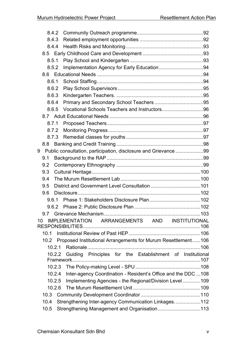|    | 8.4.2  |                                                                 |  |
|----|--------|-----------------------------------------------------------------|--|
|    | 8.4.3  |                                                                 |  |
|    | 8.4.4  |                                                                 |  |
|    |        |                                                                 |  |
|    | 8.5.1  |                                                                 |  |
|    | 8.5.2  |                                                                 |  |
|    |        |                                                                 |  |
|    | 8.6.1  |                                                                 |  |
|    | 8.6.2  |                                                                 |  |
|    | 8.6.3  |                                                                 |  |
|    | 8.6.4  |                                                                 |  |
|    | 8.6.5  |                                                                 |  |
|    |        |                                                                 |  |
|    | 8.7.1  |                                                                 |  |
|    | 8.7.2  |                                                                 |  |
|    | 8.7.3  |                                                                 |  |
|    | 8.8    |                                                                 |  |
| 9  |        | Public consultation, participation, disclosure and Grievance 99 |  |
|    | 9.1    |                                                                 |  |
|    | 9.2    |                                                                 |  |
|    | 9.3    |                                                                 |  |
|    | 9.4    |                                                                 |  |
|    | 9.5    |                                                                 |  |
|    | 9.6    |                                                                 |  |
|    | 961    |                                                                 |  |
|    | 9.6.2  |                                                                 |  |
|    | 9.7    |                                                                 |  |
| 10 |        | IMPLEMENTATION ARRANGEMENTS AND INSTITUTIONAL                   |  |
|    | 10.1   |                                                                 |  |
|    | 10.2   | Proposed Institutional Arrangements for Murum Resettlement106   |  |
|    | 10.2.1 |                                                                 |  |
|    | 10.2.2 | Guiding Principles for the Establishment of Institutional       |  |
|    |        |                                                                 |  |
|    | 10.2.4 | Inter-agency Coordination - Resident's Office and the DDC 108   |  |
|    | 10.2.5 | Implementing Agencies - the Regional/Division Level109          |  |
|    | 10.2.6 |                                                                 |  |
|    | 10.3   |                                                                 |  |
|    | 10.4   | Strengthening Inter-agency Communication Linkages112            |  |
|    | 10.5   | Strengthening Management and Organisation113                    |  |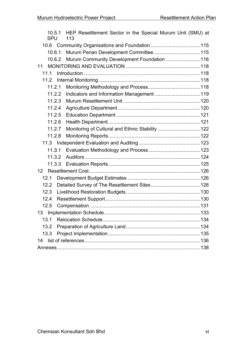| 10.5.1<br><b>SPU</b> | HEP Resettlement Sector in the Special Murum Unit (SMU) at<br>113 |  |
|----------------------|-------------------------------------------------------------------|--|
|                      |                                                                   |  |
| 10.6.1               |                                                                   |  |
| 10.6.2               | Murum Community Development Foundation 116                        |  |
| 11                   |                                                                   |  |
| 11.1                 |                                                                   |  |
| 11.2                 |                                                                   |  |
| 11.2.1               |                                                                   |  |
| 11.2.2               |                                                                   |  |
| 11.2.3               |                                                                   |  |
| 11.2.4               |                                                                   |  |
| 11.2.5               |                                                                   |  |
| 11.2.6               |                                                                   |  |
| 11.2.7               | Monitoring of Cultural and Ethnic Stability 122                   |  |
| 11.2.8               |                                                                   |  |
|                      |                                                                   |  |
| 11.3.1               |                                                                   |  |
| 11.3.2               |                                                                   |  |
|                      |                                                                   |  |
| 12                   |                                                                   |  |
| 12.1                 |                                                                   |  |
| 12.2                 |                                                                   |  |
| 12.3                 |                                                                   |  |
| 12.4                 |                                                                   |  |
| 12.5                 |                                                                   |  |
|                      |                                                                   |  |
| 13.1                 |                                                                   |  |
| 13.2                 |                                                                   |  |
| 13.3                 |                                                                   |  |
| 14                   |                                                                   |  |
|                      |                                                                   |  |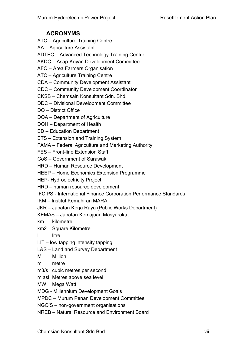# **ACRONYMS**

- ATC Agriculture Training Centre
- AA Agriculture Assistant
- ADTEC Advanced Technology Training Centre
- AKDC Asap-Koyan Development Committee
- AFO Area Farmers Organisation
- ATC Agriculture Training Centre
- CDA Community Development Assistant
- CDC Community Development Coordinator
- CKSB Chemsain Konsultant Sdn. Bhd.
- DDC Divisional Development Committee
- DO District Office
- DOA Department of Agriculture
- DOH Department of Health
- ED Education Department
- ETS Extension and Training System
- FAMA Federal Agriculture and Marketing Authority
- FES Front-line Extension Staff
- GoS Government of Sarawak
- HRD Human Resource Development
- HEEP Home Economics Extension Programme
- HEP- Hydroelectricity Project
- HRD human resource development
- IFC PS International Finance Corporation Performance Standards
- IKM Institut Kemahiran MARA
- JKR Jabatan Kerja Raya (Public Works Department)
- KEMAS Jabatan Kemajuan Masyarakat
- km kilometre
- km2 Square Kilometre
- l litre
- LIT low tapping intensity tapping
- L&S Land and Survey Department
- M Million
- m metre
- m3/s cubic metres per second
- m asl Metres above sea level
- MW Mega Watt
- MDG Millennium Development Goals
- MPDC Murum Penan Development Committee
- NGO'S non-government organisations
- NREB Natural Resource and Environment Board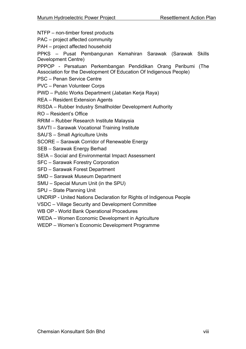- NTFP non-timber forest products
- PAC project affected community
- PAH project affected household
- PPKS Pusat Pembangunan Kemahiran Sarawak (Sarawak Skills Development Centre)
- PPPOP Persatuan Perkembangan Pendidikan Orang Peribumi (The Association for the Development Of Education Of Indigenous People)
- PSC Penan Service Centre
- PVC Penan Volunteer Corps
- PWD Public Works Department (Jabatan Kerja Raya)
- REA Resident Extension Agents
- RISDA Rubber Industry Smallholder Development Authority
- RO Resident's Office
- RRIM Rubber Research Institute Malaysia
- SAVTI Sarawak Vocational Training Institute
- SAU'S Small Agriculture Units
- SCORE Sarawak Corridor of Renewable Energy
- SEB Sarawak Energy Berhad
- SEIA Social and Environmental Impact Assessment
- SFC Sarawak Forestry Corporation
- SFD Sarawak Forest Department
- SMD Sarawak Museum Department
- SMU Special Murum Unit (in the SPU)
- SPU State Planning Unit
- UNDRIP United Nations Declaration for Rights of Indigenous People
- VSDC Village Security and Development Committee
- WB OP World Bank Operational Procedures
- WEDA Women Economic Development in Agriculture
- WEDP Women's Economic Development Programme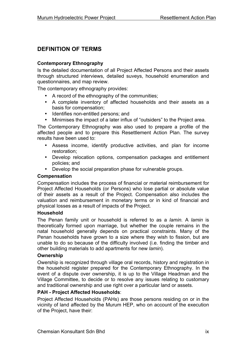# **DEFINITION OF TERMS**

#### **Contemporary Ethnography**

Is the detailed documentation of all Project Affected Persons and their assets through structured interviews, detailed suveys, household enumeration and questionnaires, and map review.

The contemporary ethnography provides:

- A record of the ethnography of the communities;
- A complete inventory of affected households and their assets as a basis for compensation;
- Identifies non-entitled persons; and
- Minimises the impact of a later influx of "outsiders" to the Project area.

The Contemporary Ethnography was also used to prepare a profile of the affected people and to prepare this Resettlement Action Plan. The survey results have been used to:

- Assess income, identify productive activities, and plan for income restoration;
- Develop relocation options, compensation packages and entitlement policies; and
- Develop the social preparation phase for vulnerable groups.

#### **Compensation**

Compensation includes the process of financial or material reimbursement for Project Affected Households (or Persons) who lose partial or absolute value of their assets as a result of the Project. Compensation also includes the valuation and reimbursement in monetary terms or in kind of financial and physical losses as a result of impacts of the Project.

#### **Household**

The Penan family unit or household is referred to as a *lamin.* A *lamin* is theoretically formed upon marriage, but whether the couple remains in the natal household generally depends on practical constraints. Many of the Penan households have grown to a size where they wish to fission, but are unable to do so because of the difficulty involved (i.e. finding the timber and other building materials to add apartments for new *lamin*).

#### **Ownership**

Owership is recognized through village oral records, history and registration in the household register prepared for the Contemporary Ethnography. In the event of a dispute over ownership, it is up to the Village Headman and the Village Committee, to decide or to resolve any issues relating to customary and traditional ownership and use right over a particular land or assets.

#### **PAH - Project Affected Households**:

Project Affected Households (PAHs) are those persons residing on or in the vicinity of land affected by the Murum HEP, who on account of the execution of the Project, have their: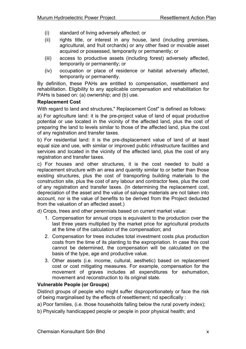- (i) standard of living adversely affected; or
- (ii) rights title, or interest in any house, land (including premises, agricultural, and fruit orchards) or any other fixed or movable asset acquired or possessed, temporarily or permanently; or
- (iii) access to productive assets (including forest) adversely affected, temporarily or permanently; or
- (iv) occupation or place of residence or habitat adversely affected, temporarily or permanently.

By definition, these PAHs are entitled to compensation, resettlement and rehabilitation. Eligibility to any applicable compensation and rehabilitation for PAHs is based on: (a) ownership; and (b) use.

#### **Replacement Cost**

With regard to land and structures," Replacement Cost" is defined as follows:

a) For agriculture land: it is the pre-project value of land of equal productive potential or use located in the vicinity of the affected land, plus the cost of preparing the land to levels similar to those of the affected land, plus the cost of any registration and transfer taxes.

b) For residential land: it is the pre-displacement value of land of at least equal size and use, with similar or improved public infrastructure facilities and services and located in the vicinity of the affected land, plus the cost of any registration and transfer taxes.

c) For houses and other structures, it is the cost needed to build a replacement structure with an area and quantity similar to or better than those existing structures, plus the cost of transporting building materials to the construction site, plus the cost of any labour and contractor fees, plus the cost of any registration and transfer taxes. (In determining the replacement cost, depreciation of the asset and the value of salvage materials are not taken into account, nor is the value of benefits to be derived from the Project deducted from the valuation of an affected asset.)

d) Crops, trees and other perennials based on current market value:

- 1. Compensation for annual crops is equivalent to the production over the last three years multiplied by the market price for agricultural products at the time of the calculation of the compensation; and
- 2. Compensation for trees includes total investment costs plus production costs from the time of its planting to the expropriation. In case this cost cannot be determined, the compensation will be calculated on the basis of the type, age and productive value.
- 3. Other assets (i.e. income, cultural, aesthetic) based on replacement cost or cost mitigating measures. For example, compensation for the movement of graves includes all expenditures for exhumation, movement and reconstruction to its original state.

### **Vulnerable People (or Groups)**

Distinct groups of people who might suffer disproportionately or face the risk of being marginalised by the effects of resettlement; nd specifically :

- a) Poor families, (i.e. those households falling below the rural poverty index);
- b) Physically handicapped people or people in poor physical health; and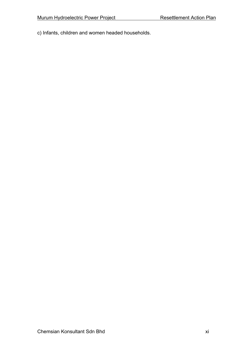c) Infants, children and women headed households.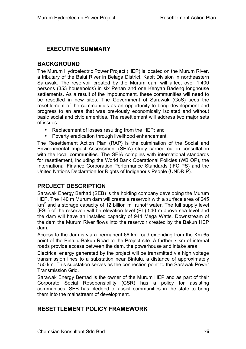# **EXECUTIVE SUMMARY**

# **BACKGROUND**

The Murum Hydroelectric Power Project (HEP) is located on the Murum River, a tributary of the Balui River in Belaga District, Kapit Division in northeastern Sarawak. The reservoir created by the Murum dam will affect over 1,400 persons (353 households) in six Penan and one Kenyah Badeng longhouse settlements. As a result of the impoundment, these communities will need to be resettled in new sites. The Government of Sarawak (GoS) sees the resettlement of the communities as an opportunity to bring development and progress to an area that was previously economically isolated and without basic social and civic amenities. The resettlement will address two major sets of issues:

- Replacement of losses resulting from the HEP; and
- Poverty eradication through livelihood enhancement.

The Resettlement Action Plan (RAP) is the culmination of the Social and Environmental Impact Assessment (SEIA) study carried out in consultation with the local communities. The SEIA complies with international standards for resettlement, including the World Bank Operational Policies (WB OP), the International Finance Corporation Performance Standards (IFC PS) and the United Nations Declaration for Rights of Indigenous People (UNDRIP).

# **PROJECT DESCRIPTION**

Sarawak Energy Berhad (SEB) is the holding company developing the Murum HEP. The 140 m Murum dam will create a reservoir with a surface area of 245  $km<sup>2</sup>$  and a storage capacity of 12 billion  $m<sup>3</sup>$  runoff water. The full supply level (FSL) of the reservoir will be elevation level (EL) 540 m above sea level and the dam will have an installed capacity of 944 Mega Watts. Downstream of the dam the Murum River flows into the reservoir created by the Bakun HEP dam.

Access to the dam is via a permanent 66 km road extending from the Km 65 point of the Bintulu-Bakun Road to the Project site. A further 7 km of internal roads provide access between the dam, the powerhouse and intake area.

Electrical energy generated by the project will be transmitted via high voltage transmission lines to a substation near Bintulu, a distance of approximately 150 km. This substation serves as the connection point to the Sarawak Power Transmission Grid.

Sarawak Energy Berhad is the owner of the Murum HEP and as part of their Corporate Social Reseponsibility (CSR) has a policy for assisting communities. SEB has pledged to assist communities in the state to bring them into the mainstream of development.

### **RESETTLEMENT POLICY FRAMEWORK**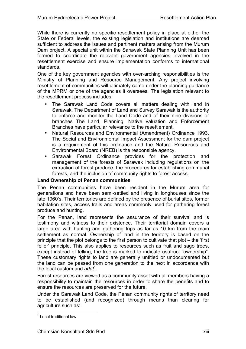While there is currently no specific resettlement policy in place at either the State or Federal levels, the existing legislation and institutions are deemed sufficient to address the issues and pertinent matters arising from the Murum Dam project. A special unit within the Sarawak State Planning Unit has been formed to coordinate the relevant government agencies involved in the resettlement exercise and ensure implementation conforms to international standards,

One of the key government agencies with over-arching responsibilities is the Ministry of Planning and Resource Management. Any project involving resettlement of communities will ultimately come under the planning guidance of the MPRM or one of the agencies it oversees. The legislation relevant to the resettlement process includes:

- The Sarawak Land Code covers all matters dealing with land in Sarawak. The Department of Land and Survey Sarawak is the authority to enforce and monitor the Land Code and of their nine divisions or branches The Land, Planning, Native valuation and Enforcement Branches have particular relevance to the resettlement.
- Natural Resources and Environmental (Amendment) Ordinance 1993. The Social and Environmental Impact Assessment for the dam project is a requirement of this ordinance and the Natural Resources and Environmental Board (NREB) is the responsible agency.
- Sarawak Forest Ordinance provides for the protection and management of the forests of Sarawak including regulations on the extraction of forest produce, the procedures for establishing communal forests, and the inclusion of community rights to forest access.

### **Land Ownership of Penan communities**

The Penan communities have been resident in the Murum area for generations and have been semi-settled and living in longhouses since the late 1960's. Their territories are defined by the presence of burial sites, former habitation sites, access trails and areas commonly used for gathering forest produce and hunting.

For the Penan, land represents the assurance of their survival and is testimony and witness to their existence. Their territorial domain covers a large area with hunting and gathering trips as far as 10 km from the main settlement as normal. Ownership of land in the territory is based on the principle that the plot belongs to the first person to cultivate that plot – the 'first feller' principle. This also applies to resources such as fruit and sago trees, except instead of felling, the tree is marked to indicate usufruct "ownership". These customary rights to land are generally untitled or undocumented but the land can be passed from one generation to the next in accordance with the local custom and *adat<sup>1</sup>* .

Forest resources are viewed as a community asset with all members having a responsibility to maintain the resources in order to share the benefits and to ensure the resources are preserved for the future.

Under the Sarawak Land Code, the Penan community rights of territory need to be established (and recognized) through means than clearing for agriculture such as:

 <sup>1</sup> Local traditional law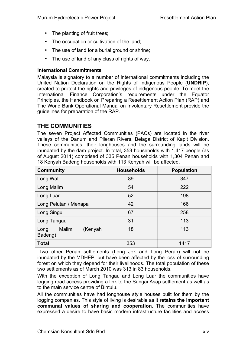- The planting of fruit trees;
- The occupation or cultivation of the land;
- The use of land for a burial ground or shrine;
- The use of land of any class of rights of way.

### **International Commitments**

Malaysia is signatory to a number of international commitments including the United Nation Declaration on the Rights of Indigenous People (**UNDRIP**), created to protect the rights and privileges of indigenous people. To meet the International Finance Corporation's requirements under the Equator Principles, the Handbook on Preparing a Resettlement Action Plan (RAP) and The World Bank Operational Manual on Involuntary Resettlement provide the guidelines for preparation of the RAP.

# **THE COMMUNITIES**

The seven Project Affected Communities (PACs) are located in the river valleys of the Danum and Plieran Rivers, Belaga District of Kapit Division. These communities, their longhouses and the surrounding lands will be inundated by the dam project. In total, 353 households with 1,417 people (as of August 2011) comprised of 335 Penan households with 1,304 Penan and 18 Kenyah Badeng households with 113 Kenyah will be affected.

| <b>Community</b>                    | <b>Households</b> | <b>Population</b> |
|-------------------------------------|-------------------|-------------------|
| Long Wat                            | 89                | 347               |
| Long Malim                          | 54                | 222               |
| Long Luar                           | 52                | 198               |
| Long Pelutan / Menapa               | 42                | 166               |
| Long Singu                          | 67                | 258               |
| Long Tangau                         | 31                | 113               |
| (Kenyah<br>Malim<br>Long<br>Badeng) | 18                | 113               |
| <b>Total</b>                        | 353               | 1417              |

Two other Penan settlements (Long Jek and Long Peran) will not be inundated by the MDHEP, but have been affected by the loss of surrounding forest on which they depend for their livelihoods. The total population of these two settlements as of March 2010 was 313 in 83 households.

With the exception of Long Tangau and Long Luar the communities have logging road access providing a link to the Sungai Asap settlement as well as to the main service centre of Bintulu.

All the communities have had longhouse style houses built for them by the logging companies. This style of living is desirable as it **retains the important communal values of sharing and cooperation**. The communities have expressed a desire to have basic modern infrastructure facilities and access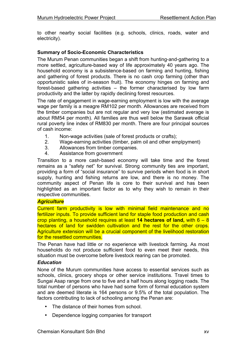to other nearby social facilities (e.g. schools, clinics, roads, water and electricity).

#### **Summary of Socio-Economic Characteristics**

The Murum Penan communities began a shift from hunting-and-gathering to a more settled, agriculture-based way of life approximately 40 years ago. The household economy is a subsistence-based on farming and hunting, fishing and gathering of forest products. There is no cash crop farming (other than opportunistic sales of in-season fruit). The economy hinges on farming and forest-based gathering activities – the former characterised by low farm productivity and the latter by rapidly declining forest resources.

The rate of engagement in wage-earning employment is low with the average wage per family is a meagre RM102 per month. Allowances are received from the timber companies but are not regular and very low (estimated average is about RM54 per month). All families are thus well below the Sarawak official rural poverty line index of RM830 per month. There are four principal sources of cash income:

- 1. Non-wage activities (sale of forest products or crafts);
- 2. Wage-earning activities (timber, palm oil and other emplpyment)
- 3. Allowances from timber companies.
- 4. Assistance from government

Transition to a more cash-based economy will take time and the forest remains as a "safety net" for survival. Strong community ties are important, providing a form of "social insurance" to survive periods when food is in short supply, hunting and fishing returns are low, and there is no money. The community aspect of Penan life is core to their survival and has been highlighted as an important factor as to why they wish to remain in their respective communities.

#### *Agriculture*

Current farm productivity is low with minimal field maintenance and no fertilizer inputs. To provide sufficient land for staple food production and cash crop planting, a household requires at least **14 hectares of land,** with 6 – 8 hectares of land for swidden cultivation and the rest for the other crops. Agriculture extension will be a crucial component of the livelihood restoration for the resettled communities.

The Penan have had little or no experience with livestock farming. As most households do not produce sufficient food to even meet their needs, this situation must be overcome before livestock rearing can be promoted.

#### *Education*

None of the Murum communities have access to essential services such as schools, clinics, grocery shops or other service institutions. Travel times to Sungai Asap range from one to five and a half hours along logging roads. The total number of persons who have had some form of formal education system and are deemed literate is 164 persons or 9.5% of the total population. The factors contributing to lack of schooling among the Penan are:

- The distance of their homes from school
- Dependence logging companies for transport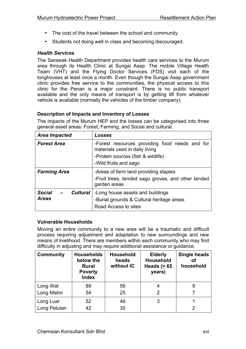- The cost of the travel between the school and community
- Students not doing well in class and becoming discouraged.

### *Health Services*

The Sarawak Health Department provides health care services to the Murum area through its Health Clinic at Sungai Asap. The mobile Village Health Team (VHT) and the Flying Doctor Services (FDS) visit each of the longhouses at least once a month. Even though the Sungai Asap government clinic provides free service to the communities, the physical access to this clinic for the Penan is a major constraint. There is no public transport available and the only means of transport is by getting lift from whatever vehicle is available (normally the vehicles of the timber company).

### **Description of Impacts and Inventory of Losses**

The impacts of the Murum HEP and the losses can be categorised into three general asset areas: Forest; Farming; and Social and cultural.

| <b>Area Impacted</b>                                                                                                                                      | Losses                                                                                                                                          |  |  |
|-----------------------------------------------------------------------------------------------------------------------------------------------------------|-------------------------------------------------------------------------------------------------------------------------------------------------|--|--|
| <b>Forest Area</b>                                                                                                                                        | -Forest resources providing food needs and for<br>materials used in daily living<br>-Protein sources (fish & wildlife)<br>-Wild fruits and sago |  |  |
| <b>Farming Area</b>                                                                                                                                       | -Areas of farm land providing staples<br>-Fruit trees, tended sago groves, and other tended<br>garden areas                                     |  |  |
| <b>Social</b><br>-Long house assets and buildings<br><b>Cultural</b><br><b>Areas</b><br>-Burial grounds & Cultural heritage areas<br>Road Access to sites |                                                                                                                                                 |  |  |

### **Vulnerable Households**

Moving an entire community to a new area will be a traumatic and difficult process requiring adjustment and adaptation to new surroundings and new means of livelihood. There are members within each community who may find difficulty in adjusting and may require additional assistance or guidance.

| <b>Community</b> | <b>Households</b><br>below the<br><b>Rural</b><br><b>Poverty</b><br><b>Index</b> | <b>Household</b><br>heads<br>without IC | <b>Elderly</b><br><b>Household</b><br>Heads $(> 65$<br>years) | <b>Single heads</b><br>οf<br>household |
|------------------|----------------------------------------------------------------------------------|-----------------------------------------|---------------------------------------------------------------|----------------------------------------|
| Long Wat         | 89                                                                               | 56                                      | 4                                                             | 9                                      |
| Long Malim       | 54                                                                               | 25                                      | 2                                                             |                                        |
| Long Luar        | 52                                                                               | 46                                      | 3                                                             |                                        |
| Long Pelutan     | 42                                                                               | 35                                      |                                                               |                                        |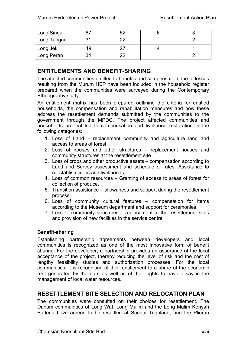| Long Singu  | 67 | よっ |  |
|-------------|----|----|--|
| Long Tangau | 31 | つつ |  |
| Long Jek    | 49 |    |  |
| Long Peran  | 34 | າາ |  |

# **ENTITLEMENTS AND BENEFIT-SHARING**

The affected communities entitled to benefits and compensation due to losses resulting from the Murum HEP have been included in the household register prepared when the communities were surveyed during the Contemporary Ethnography study.

An entitlement matrix has been prepared outlining the criteria for entitled households, the compensation and rehabilitation measures and how these address the resettlement demands submitted by the communities to the government through the MPDC. The project affected communities and households are entitled to compensation and livelihood restoration in the following categories:

- 1. Loss of Land replacement community and agriculture land and access to areas of forest.
- 2. Loss of houses and other structures replacement houses and community structures at the resettlement site
- 3. Loss of crops and other productive assets compensation according to Land and Survey assessment and schedule of rates. Assistance to reestablish crops and livelihoods
- 4. Loss of common resources Granting of access to areas of forest for collection of produce.
- 5. Transition assistance allowances and support during the resettlement process
- 6. Loss of community cultural features compensation for items according to the Museum department and support for ceremonies.
- 7. Loss of community structures replacement at the resettlement sites and provision of new facilities in the service centre

### **Benefit-sharing**

Establishing partnership agreements between developers and local communities is recognized as one of the most innovative form of benefit sharing. For the developer, a partnership provides an assurance of the local acceptance of the project, thereby reducing the level of risk and the cost of lengthy feasibility studies and authorization processes. For the local communities, it is recognition of their entitlement to a share of the economic rent generated by the dam as well as of their rights to have a say in the management of local water resources.

### **RESETTLEMENT SITE SELECTION AND RELOCATION PLAN**

The communities were consulted on their choices for resettlement. The Danum communities of Long Wat, Long Malim and the Long Malim Kenyah Badeng have agreed to be resettled at Sungai Tegulang; and the Plieran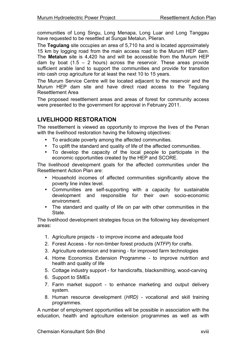communities of Long Singu, Long Menapa, Long Luar and Long Tanggau have requested to be resettled at Sungai Metalun, Plieran.

The **Tegulang** site occupies an area of 5,710 ha and is located approximately 15 km by logging road from the main access road to the Murum HEP dam. The **Metalun** site is 4,420 ha and will be accessible from the Murum HEP dam by boat  $(1.5 - 2$  hours) across the reservoir. These areas provide sufficient arable land to support the communities and provide for transition into cash crop agriculture for at least the next 10 to 15 years.

The Murum Service Centre will be located adjacent to the reservoir and the Murum HEP dam site and have direct road access to the Tegulang Resettlement Area

The proposed resettlement areas and areas of forest for community access were presented to the government for approval in February 2011.

### **LIVELIHOOD RESTORATION**

The resettlement is viewed as opportunity to improve the lives of the Penan with the livelihood restoration having the following objectives:

- To eradicate poverty among the affected communities.
- To uplift the standard and quality of life of the affected communities.
- To develop the capacity of the local people to participate in the economic opportunities created by the HEP and SCORE.

The livelihood development goals for the affected communities under the Resettlement Action Plan are:

- Household incomes of affected communities significantly above the poverty line index level.
- Communities are self-supporting with a capacity for sustainable development and responsible for their own socio-economic environment.
- The standard and quality of life on par with other communities in the **State**

The livelihood development strategies focus on the following key development areas:

- 1. Agriculture projects to improve income and adequate food
- 2. Forest Access for non-timber forest products (*NTFP*) for crafts.
- 3. Agriculture extension and training for improved farm technologies
- 4. Home Economics Extension Programme to improve nutrition and health and quality of life
- 5. Cottage industry support for handicrafts, blacksmithing, wood-carving
- 6. Support to SMEs
- 7. Farm market support to enhance marketing and output delivery system.
- 8. Human resource development (*HRD)*  vocational and skill training programmes.

A number of employment opportunities will be possible in association with the education, health and agriculture extension programmes as well as with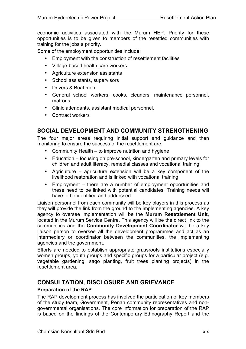economic activities associated with the Murum HEP. Priority for these opportunities is to be given to members of the resettled communities with training for the jobs a priority.

Some of the employment opportunities include:

- Employment with the construction of resettlement facilities
- Village-based health care workers
- Agriculture extension assistants
- School assistants, supervisors
- Drivers & Boat men
- General school workers, cooks, cleaners, maintenance personnel, matrons
- Clinic attendants, assistant medical personnel,
- Contract workers

# **SOCIAL DEVELOPMENT AND COMMUNITY STRENGTHENING**

The four major areas requiring initial support and guidance and then monitoring to ensure the success of the resettlement are:

- Community Health to improve nutrition and hygiene
- Education focusing on pre-school, kindergarten and primary levels for children and adult literacy, remedial classes and vocational training
- Agriculture agriculture extension will be a key component of the livelihood restoration and is linked with vocational training.
- Employment there are a number of employment opportunities and these need to be linked with potential candidates. Training needs will have to be identified and addressed.

Liaison personnel from each community will be key players in this process as they will provide the link from the ground to the implementing agencies. A key agency to oversee implementation will be the **Murum Resettlement Unit**, located in the Murum Service Centre. This agency will be the direct link to the communities and the **Community Development Coordinator** will be a key liaison person to oversee all the development programmes and act as an intermediary or coordinator between the communities, the implementing agencies and the government.

Efforts are needed to establish appropriate grassroots institutions especially women groups, youth groups and specific groups for a particular project (e.g. vegetable gardening, sago planting, fruit trees planting projects) in the resettlement area.

### **CONSULTATION, DISCLOSURE AND GRIEVANCE Preparation of the RAP**

The RAP development process has involved the participation of key members of the study team, Government, Penan community representatives and nongovernmental organisations. The core information for preparation of the RAP is based on the findings of the Contemporary Ethnography Report and the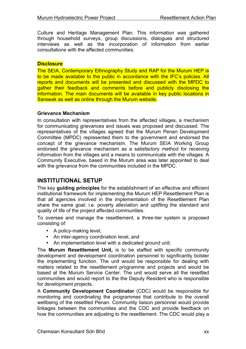Culture and Heritage Management Plan. This information was gathered through household surveys, group discussions, dialogues and structured interviews as well as the incorporation of information from earlier consultations with the affected communities.

#### **Disclosure**

The SEIA, Contemporary Ethnography Study and RAP for the Murum HEP is to be made available to the public in accordance with the IFC's policies. All reports and documents will be presented and discussed with the MPDC to gather their feedback and comments before and publicly disclosing the information. The main documents will be available in key public locations in Sarawak as well as online through the Murum website.

#### **Grievance Mechanism**

In consultation with representatives from the affected villages, a mechanism for communicating grievances and issues was proposed and discussed. The representatives of the villages agreed that the Murum Penan Development Committee (MPDC) represented them to the government and endorsed the concept of the grievance mechanism. The Murum SEIA Working Group endorsed the grievance mechanism as a satisfactory method for receiving information from the villages and a means to communicate with the villages. A Community Executive, based in the Murum area was later appointed to deal with the grievance from the communities included in the MPDC.

### **INSTITUTIONAL SETUP**

The key **guiding principles** for the establishment of an effective and efficient institutional framework for implementing the Murum HEP Resettlement Plan is that all agencies involved in the implementation of the Resettlement Plan share the same goal; i.e. poverty alleviation and uplifting the standard and quality of life of the project affected communities.

To oversee and manage the resettlement, a three-tier system is proposed consisting of:

- A policy-making level,
- An inter-agency coordination level, and
- An implementation level with a dedicated ground unit.

The **Murum Resettlement Unit,** is to be staffed with specific community development and development coordination personnel to significantly bolster the implementing function. The unit would be responsible for dealing with matters related to the resettlement programme and projects and would be based at the Murum Service Center. The unit would serve all the resettled communities and would report to the the Deputy Resident who is responsible for development projects.

A **Community Development Coordinator** (CDC) would be responsible for monitoring and coordinating the programmes that contribute to the overall wellbeing of the resettled Penan. Community liaison personnel would provide linkages between the communities and the CDC and provide feedback on how the communities are adjusting to the resettlement. The CDC would play a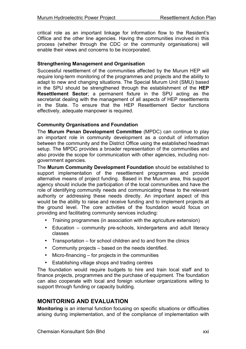critical role as an important linkage for information flow to the Resident's Offiice and the other line agencies. Having the communities involved in this process (whether through the CDC or the community organisations) will enable their views and concerns to be incorporated.

#### **Strengthening Management and Organisation**

Successful resettlement of the communities affected by the Murum HEP will require long-term monitoring of the programmes and projects and the ability to adapt to new and changing situations. The Special Murum Unit (SMU) based in the SPU should be strengthened through the establishment of the **HEP Resettlement Sector**; a permanent fixture in the SPU acting as the secretariat dealing with the management of all aspects of HEP resettlements in the State. To ensure that the HEP Resettlement Sector functions effectively, adequate manpower is required.

#### **Community Organisations and Foundation**

The **Murum Penan Development Committee** (MPDC) can continue to play an important role in community development as a conduit of information between the community and the District Office using the established headman setup. The MPDC provides a broader representation of the communities and also provide the scope for communication with other agencies, including nongovernment agencies.

The **Murum Community Development Foundation** should be established to support implementation of the resettlement programmes and provide alternative means of project funding. Based in the Murum area, this support agency should include the participation of the local communities and have the role of identifying community needs and communicating these to the relevant authority or addressing these needs directly. An important aspect of this would be the ability to raise and receive funding and to implement projects at the ground level. The core activities of the foundation would focus on providing and facilitating community services including:

- Training programmes (in association with the agriculture extension)
- Education community pre-schools, kindergartens and adult literacy classes
- Transportation for school children and to and from the clinics
- Community projects based on the needs identified.
- Micro-financing for projects in the communities
- Establishing village shops and trading centres

The foundation would require budgets to hire and train local staff and to finance projects, programmes and the purchase of equipment. The foundation can also cooperate with local and foreign volunteer organizations willing to support through funding or capacity building.

### **MONITORING AND EVALUATION**

**Monitoring** is an internal function focusing on specific situations or difficulties arising during implementation, and of the compliance of implementation with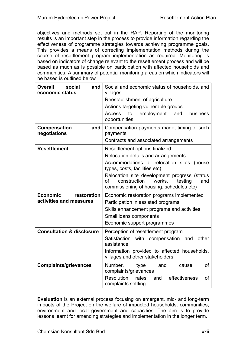objectives and methods set out in the RAP. Reporting of the monitoring results is an important step in the process to provide information regarding the effectiveness of programme strategies towards achieving programme goals. This provides a means of correcting implementation methods during the course of resettlement program implementation as required. Monitoring is based on indicators of change relevant to the resettlement process and will be based as much as is possible on participation with affected households and communities. A summary of potential monitoring areas on which indicators will be based is outlined below

| <b>Overall</b><br>social<br>and<br>economic status        | Social and economic status of households, and<br>villages<br>Reestablishment of agriculture<br>Actions targeting vulnerable groups<br>to<br>employment<br><b>Access</b><br>and<br>business<br>opportunities                                                                                          |  |  |
|-----------------------------------------------------------|------------------------------------------------------------------------------------------------------------------------------------------------------------------------------------------------------------------------------------------------------------------------------------------------------|--|--|
| Compensation<br>and<br>negotiations                       | Compensation payments made, timing of such<br>payments<br>Contracts and associated arrangements                                                                                                                                                                                                      |  |  |
| <b>Resettlement</b>                                       | Resettlement options finalized<br>Relocation details and arrangements<br>Accommodations at relocation sites<br>(house<br>types, costs, facilities etc)<br>Relocation site development progress (status<br>of<br>construction<br>works.<br>testing<br>and<br>commissioning of housing, schedules etc) |  |  |
| <b>Economic</b><br>restoration<br>activities and measures | Economic restoration programs implemented<br>Participation in assisted programs<br>Skills enhancement programs and activities<br>Small loans components<br>Economic support programmes                                                                                                               |  |  |
| <b>Consultation &amp; disclosure</b>                      | Perception of resettlement program<br>Satisfaction<br>with compensation<br>other<br>and<br>assistance<br>Information provided to affected households,<br>villages and other stakeholders                                                                                                             |  |  |
| <b>Complaints/grievances</b>                              | of<br>Number,<br>and<br>type<br>cause<br>complaints/grievances<br>Resolution<br>effectiveness<br>rates<br><b>of</b><br>and<br>complaints settling                                                                                                                                                    |  |  |

**Evaluation** is an external process focusing on emergent, mid- and long-term impacts of the Project on the welfare of impacted households, communities, environment and local government and capacities. The aim is to provide lessons learnt for amending strategies and implementation in the longer term.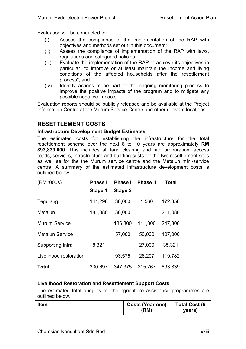Evaluation will be conducted to:

- (i) Assess the compliance of the implementation of the RAP with objectives and methods set out in this document;
- (ii) Assess the compliance of implementation of the RAP with laws, regulations and safeguard policies;
- (iii) Evaluate the implementation of the RAP to achieve its objectives in particular "to improve or at least maintain the income and living conditions of the affected households after the resettlement process"; and
- (iv) Identify actions to be part of the ongoing monitoring process to improve the positive impacts of the program and to mitigate any possible negative impacts.

Evaluation reports should be publicly released and be available at the Project Information Centre at the Murum Service Centre and other relevant locations.

### **RESETTLEMENT COSTS**

#### **Infrastructure Development Budget Estimates**

The estimated costs for establishing the infrastructure for the total resettlement scheme over the next 8 to 10 years are approximately **RM 893,839,000.** This includes all land clearing and site preparation, access roads, services, infrastructure and building costs for the two resettlement sites as well as for the the Murum service centre and the Metalun mini-service centre. A summary of the estimated infrastructure development costs is outlined below.

| (RM '000s)             | <b>Phase I</b> | <b>Phase I</b> | <b>Phase II</b> | <b>Total</b> |
|------------------------|----------------|----------------|-----------------|--------------|
|                        | Stage 1        | Stage 2        |                 |              |
| Tegulang               | 141,296        | 30,000         | 1,560           | 172,856      |
| Metalun                | 181,080        | 30,000         |                 | 211,080      |
| <b>Murum Service</b>   |                | 136,800        | 111,000         | 247,800      |
| <b>Metalun Service</b> |                | 57,000         | 50,000          | 107,000      |
| Supporting Infra       | 8,321          |                | 27,000          | 35,321       |
| Livelihood restoration |                | 93,575         | 26,207          | 119,782      |
| Total                  | 330,697        | 347,375        | 215,767         | 893,839      |

### **Livelihood Restoration and Resettlement Support Costs**

The estimated total budgets for the agriculture assistance programmes are outlined below.

| <b>Item</b> | <b>Costs (Year one)</b><br>(RM) | <b>Total Cost (6</b><br>years) |
|-------------|---------------------------------|--------------------------------|
|             |                                 |                                |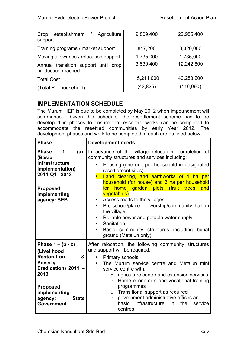| establishment /<br>Agriculture<br>Crop<br>support          | 9,809,400  | 22,985,400 |
|------------------------------------------------------------|------------|------------|
| Training programs / market support                         | 847,200    | 3,320,000  |
| Moving allowance / relocation support                      | 1,735,000  | 1,735,000  |
| Annual transition support until crop<br>production reached | 3,539,400  | 12,242,800 |
| <b>Total Cost</b>                                          | 15,211,000 | 40,283,200 |
| (Total Per household)                                      | (43,835)   | (116,090)  |

# **IMPLEMENTATION SCHEDULE**

The Murum HEP is due to be completed by May 2012 when impoundment will commence. Given this schedule, the resettlement scheme has to be developed in phases to ensure that essential works can be completed to accommodate the resettled communities by early Year 2012. The development phases and work to be completed in each are outlined below.

| <b>Phase</b>                                                                                                                                                                                      | <b>Development needs</b>                                                                                                                                                                                                                                                                                                                                                                                                                                                                                                                                                                                   |  |
|---------------------------------------------------------------------------------------------------------------------------------------------------------------------------------------------------|------------------------------------------------------------------------------------------------------------------------------------------------------------------------------------------------------------------------------------------------------------------------------------------------------------------------------------------------------------------------------------------------------------------------------------------------------------------------------------------------------------------------------------------------------------------------------------------------------------|--|
| $1 -$<br>$(a)$ :<br><b>Phase</b><br>(Basic<br><b>Infrastructure</b><br>Implementation)<br>2011-Q1 2013<br><b>Proposed</b><br>implementing<br>agency: SEB                                          | In advance of the village relocation, completion of<br>community structures and services including:<br>Housing (one unit per household in designated<br>resettlement sites).<br>Land clearing, and earthworks of 1 ha per<br>household (for house) and 3 ha per household<br>for home garden plots (fruit trees<br>and<br>vegetables)<br>Access roads to the villages<br>$\bullet$<br>Pre-school/place of worship/community hall in<br>$\bullet$<br>the village<br>Reliable power and potable water supply<br>٠<br>Sanitation<br>٠<br>Basic community structures including burial<br>ground (Metalun only) |  |
| Phase $1 - (b - c)$<br>(Livelihood<br><b>Restoration</b><br>&<br><b>Poverty</b><br>Eradication) 2011 -<br>2013<br><b>Proposed</b><br>implementing<br>agency:<br><b>State</b><br><b>Government</b> | After relocation, the following community structures<br>and support will be required:<br><b>Primary schools</b><br>$\bullet$<br>The Murum service centre and Metalun mini<br>$\bullet$<br>service centre with:<br>agriculture centre and extension services<br>$\circ$<br>Home economics and vocational training<br>$\circ$<br>programmes<br>$\circ$ Transitional support as required<br>government administrative offices and<br>$\circ$<br>basic infrastructure<br>in<br>the<br>service<br>$\circ$<br>centres.                                                                                           |  |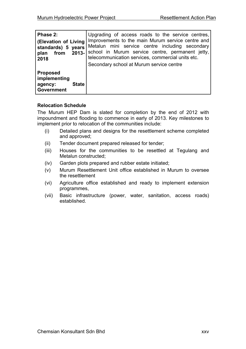| Phase 2:<br>(Elevation of Living<br>standards) 5 years<br>$2013 -$<br>from<br>plan<br>2018 | Upgrading of access roads to the service centres,<br>Improvements to the main Murum service centre and<br>Metalun mini service centre including secondary<br>school in Murum service centre, permanent jetty,<br>telecommunication services, commercial units etc.<br>Secondary school at Murum service centre |
|--------------------------------------------------------------------------------------------|----------------------------------------------------------------------------------------------------------------------------------------------------------------------------------------------------------------------------------------------------------------------------------------------------------------|
| <b>Proposed</b><br>implementing<br><b>State</b><br>agency:<br><b>Government</b>            |                                                                                                                                                                                                                                                                                                                |

### **Relocation Schedule**

The Murum HEP Dam is slated for completion by the end of 2012 with impoundment and flooding to commence in early of 2013. Key milestones to implement prior to relocation of the communities include:

- (i) Detailed plans and designs for the resettlement scheme completed and approved;
- (ii) Tender document prepared released for tender;
- (iii) Houses for the communities to be resettled at Tegulang and Metalun constructed;
- (iv) Garden plots prepared and rubber estate initiated;
- (v) Murum Resettlement Unit office established in Murum to oversee the resettlement
- (vi) Agriculture office established and ready to implement extension programmes,
- (vii) Basic infrastructure (power, water, sanitation, access roads) established.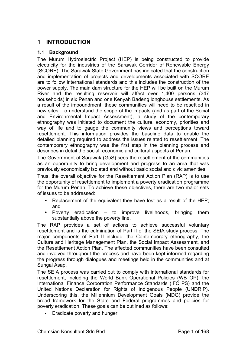# **1 INTRODUCTION**

#### **1.1 Background**

The Murum Hydroelectric Project (HEP) is being constructed to provide electricity for the industries of the Sarawak Corridor of Renewable Energy (SCORE). The Sarawak State Government has indicated that the construction and implementation of projects and developments associated with SCORE are to follow international standards and this includes the construction of the power supply. The main dam structure for the HEP will be built on the Murum River and the resulting reservoir will affect over 1,400 persons (347 households) in six Penan and one Kenyah Badeng longhouse settlements. As a result of the impoundment, these communities will need to be resettled in new sites. To understand the scope of the impacts (and as part of the Social and Environmental Impact Assessment), a study of the contemporary ethnography was initiated to document the culture, economy, priorities and way of life and to gauge the community views and perceptions toward resettlement. This information provides the baseline data to enable the detailed planning required to address the issues related to resettlement. The contemporary ethnography was the first step in the planning process and describes in detail the social, economic and cultural aspects of Penan.

The Government of Sarawak (GoS) sees the resettlement of the communities as an opportunity to bring development and progress to an area that was previously economically isolated and without basic social and civic amenities.

Thus, the overall objective for the Resettlement Action Plan (RAP) is to use the opportunity of resettlement to implement a poverty eradication programme for the Murum Penan. To achieve these objectives, there are two major sets of issues to be addressed:

- Replacement of the equivalent they have lost as a result of the HEP; and
- Poverty eradication to improve livelihoods, bringing them substantially above the poverty line.

The RAP provides a set of actions to achieve successful voluntary resettlement and is the culmination of Part II of the SEIA study process. The major components of Part II include: the Contemporary ethnography, the Culture and Heritage Management Plan, the Social Impact Assessment, and the Resettlement Action Plan. The affected communities have been consulted and involved throughout the process and have been kept informed regarding the progress through dialogues and meetings held in the communities and at Sungai Asap.

The SEIA process was carried out to comply with international standards for resettlement, including the World Bank Operational Policies (WB OP), the International Finance Corporation Performance Standards (IFC PS) and the United Nations Declaration for Rights of Indigenous People (UNDRIP). Underscoring this, the Millennium Development Goals (MDG) provide the broad framework for the State and Federal programmes and policies for poverty eradication. These goals can be outlined as follows:

• Eradicate poverty and hunger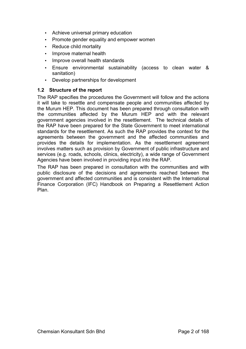- Achieve universal primary education
- Promote gender equality and empower women
- Reduce child mortality
- Improve maternal health
- Improve overall health standards
- Ensure environmental sustainability (access to clean water & sanitation)
- Develop partnerships for development

### **1.2 Structure of the report**

The RAP specifies the procedures the Government will follow and the actions it will take to resettle and compensate people and communities affected by the Murum HEP. This document has been prepared through consultation with the communities affected by the Murum HEP and with the relevant government agencies involved in the resettlement. The technical details of the RAP have been prepared for the State Government to meet international standards for the resettlement. As such the RAP provides the context for the agreements between the government and the affected communities and provides the details for implementation. As the resettlement agreement involves matters such as provision by Government of public infrastructure and services (e.g. roads, schools, clinics, electricity), a wide range of Government Agencies have been involved in providing input into the RAP.

The RAP has been prepared in consultation with the communities and with public disclosure of the decisions and agreements reached between the government and affected communities and is consistent with the International Finance Corporation (IFC) Handbook on Preparing a Resettlement Action Plan.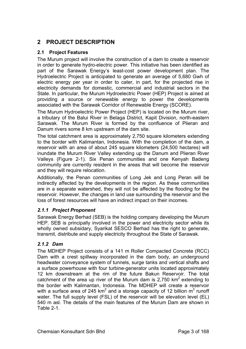# **2 PROJECT DESCRIPTION**

### **2.1 Project Features**

The Murum project will involve the construction of a dam to create a reservoir in order to generate hydro-electric power. This initiative has been identified as part of the Sarawak Energy's least-cost power development plan. The Hydroelectric Project is anticipated to generate an average of 5,680 Gwh of electric energy per year in order to cater, in part, for the projected rise in electricity demands for domestic, commercial and industrial sectors in the State. In particular, the Murum Hydroelectric Power (HEP) Project is aimed at providing a source or renewable energy to power the developments associated with the Sarawak Corridor of Renewable Energy (SCORE).

The Murum Hydroelectric Power Project (HEP) is located on the Murum river, a tributary of the Balui River in Belaga District, Kapit Division, north-eastern Sarawak. The Murum River is formed by the confluence of Plieran and Danum rivers some 8 km upstream of the dam site.

The total catchment area is approximately 2,750 square kilometers extending to the border with Kalimantan, Indonesia. With the completion of the dam, a reservoir with an area of about 245 square kilometers (24,500 hectares) will inundate the Murum River Valley extending up the Danum and Plieran River Valleys (Figure 2-1). Six Penan communities and one Kenyah Badeng community are currently resident in the areas that will become the reservoir and they will require relocation.

Additionally, the Penan communities of Long Jek and Long Peran will be indirectly affected by the developments in the region. As these communities are in a separate watershed, they will not be affected by the flooding for the reservoir. However, the changes in land use surrounding the reservoir and the loss of forest resources will have an indirect impact on their incomes.

### *2.1.1 Project Proponent*

Sarawak Energy Berhad (SEB) is the holding company developing the Murum HEP. SEB is principally involved in the power and electricity sector while its wholly owned subsidary, Syarikat SESCO Berhad has the right to generate, transmit, distribute and supply electricity throughout the State of Sarawak.

### *2.1.2 Dam*

The MDHEP Project consists of a 141 m Roller Compacted Concrete (RCC) Dam with a crest spillway incorporated in the dam body, an underground headwater conveyance system of tunnels, surge tanks and vertical shafts and a surface powerhouse with four turbine-generator units located approximately 12 km downstream at the rim of the future Bakun Reservoir. The total catchment of the area up river of the Murum dam is 2,750  $km^2$  extending to the border with Kalimantan, Indonesia. The MDHEP will create a reservoir with a surface area of 245 km<sup>2</sup> and a storage capacity of 12 billion  $m^3$  runoff water. The full supply level (FSL) of the reservoir will be elevation level (EL) 540 m asl. The details of the main features of the Murum Dam are shown in Table 2-1.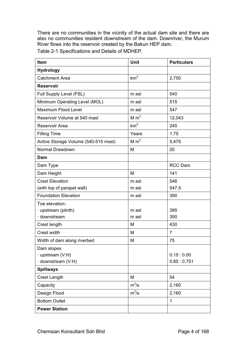There are no communities in the vicinity of the actual dam site and there are also no communities resident downstream of the dam. Downriver, the Murum River flows into the reservoir created by the Bakun HEP dam.

Table 2-1 Specifications and Details of MDHEP.

| Item                                 | Unit             | <b>Particulars</b> |
|--------------------------------------|------------------|--------------------|
| <b>Hydrology</b>                     |                  |                    |
| <b>Catchment Area</b>                | km <sup>2</sup>  | 2,750              |
| <b>Reservoir</b>                     |                  |                    |
| Full Supply Level (FSL)              | m asl            | 540                |
| Minimum Operating Level (MOL)        | m asl            | 515                |
| Maximum Flood Level                  | m asl            | 547                |
| Reservoir Volume at 540 masl         | M m <sup>3</sup> | 12,043             |
| Reservoir Area                       | km <sup>2</sup>  | 245                |
| <b>Filling Time</b>                  | Years            | 1.75               |
| Active Storage Volume (540-515 masl) | M m <sup>3</sup> | 5,475              |
| Normal Drawdown                      | M                | 20                 |
| Dam                                  |                  |                    |
| Dam Type                             |                  | <b>RCC Dam</b>     |
| Dam Height                           | M                | 141                |
| <b>Crest Elevation</b>               | m asl            | 546                |
| (with top of parapet wall)           | m asl            | 547.5              |
| <b>Foundation Elevation</b>          | m asl            | 390                |
| Toe elevation:                       |                  |                    |
| · upstream (plinth)                  | m asl            | 395                |
| downstream                           | m asl            | 390                |
| Crest length                         | M                | 430                |
| Crest width                          | M                | $\overline{7}$     |
| Width of dam along riverbed          | M                | 75                 |
| Dam slopes                           |                  |                    |
| · upstream (V:H)                     |                  | 0.15:0.00          |
| · downstream (V:H)                   |                  | 0.85:0.751         |
| <b>Spillways</b>                     |                  |                    |
| <b>Crest Length</b>                  | M                | 54                 |
| Capacity                             | $m^3/s$          | 2,160              |
| Design Flood                         | $m^3/s$          | 2,160              |
| <b>Bottom Outlet</b>                 |                  | 1                  |
| <b>Power Station</b>                 |                  |                    |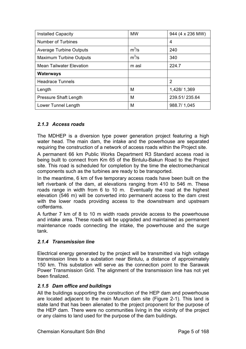| <b>Installed Capacity</b>       | <b>MW</b> | 944 (4 x 236 MW) |
|---------------------------------|-----------|------------------|
| <b>Number of Turbines</b>       |           | 4                |
| <b>Average Turbine Outputs</b>  | $m^3/s$   | 240              |
| <b>Maximum Turbine Outputs</b>  | $m^3$ /s  | 340              |
| <b>Mean Tailwater Elevation</b> | m asl     | 224.7            |
| <b>Waterways</b>                |           |                  |
| <b>Headrace Tunnels</b>         |           | 2                |
| Length                          | M         | 1,428/1,369      |
| <b>Pressure Shaft Length</b>    | M         | 239.51/235.64    |
| Lower Tunnel Length             | M         | 988.7/1.045      |

### *2.1.3 Access roads*

The MDHEP is a diversion type power generation project featuring a high water head. The main dam, the intake and the powerhouse are separated requiring the construction of a network of access roads within the Project site.

A permanent 66 km Public Works Department R3 Standard access road is being built to connect from Km 65 of the Bintulu-Bakun Road to the Project site. This road is scheduled for completion by the time the electromechanical components such as the turbines are ready to be transported.

In the meantime, 6 km of five temporary access roads have been built on the left riverbank of the dam, at elevations ranging from 410 to 546 m. These roads range in width from 6 to 10 m. Eventually the road at the highest elevation (546 m) will be converted into permanent access to the dam crest with the lower roads providing access to the downstream and upstream cofferdams.

A further 7 km of 8 to 10 m width roads provide access to the powerhouse and intake area. These roads will be upgraded and maintained as permanent maintenance roads connecting the intake, the powerhouse and the surge tank.

### *2.1.4 Transmission line*

Electrical energy generated by the project will be transmitted via high voltage transmission lines to a substation near Bintulu, a distance of approximately 150 km. This substation will serve as the connection point to the Sarawak Power Transmission Grid. The alignment of the transmission line has not yet been finalized.

### *2.1.5 Dam office and buildings*

All the buildings supporting the construction of the HEP dam and powerhouse are located adjacent to the main Murum dam site (Figure 2-1). This land is state land that has been alienated to the project proponent for the purpose of the HEP dam. There were no communities living in the vicinity of the project or any claims to land used for the purpose of the dam buildings.